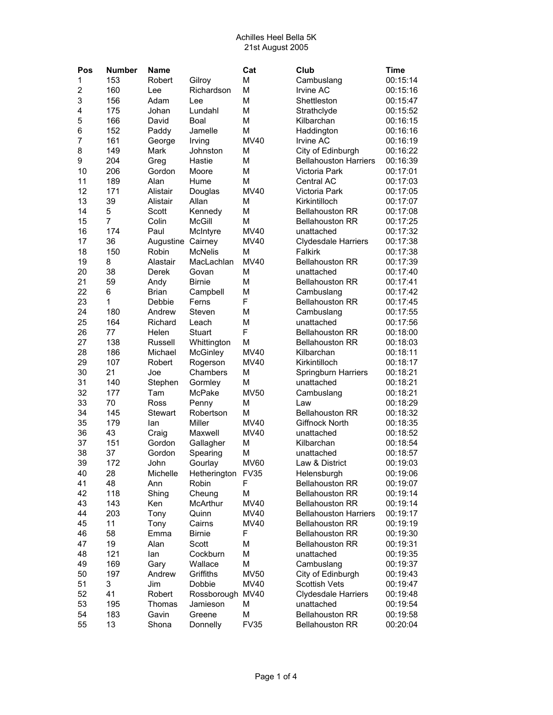| Pos            | <b>Number</b> | Name           |                 | Cat              | Club                         | <b>Time</b> |
|----------------|---------------|----------------|-----------------|------------------|------------------------------|-------------|
| 1              | 153           | Robert         | Gilroy          | M                | Cambuslang                   | 00:15:14    |
| $\overline{2}$ | 160           | Lee            | Richardson      | M                | <b>Irvine AC</b>             | 00:15:16    |
| 3              | 156           | Adam           | Lee             | M                | Shettleston                  | 00:15:47    |
| 4              | 175           | Johan          | Lundahl         | M                | Strathclyde                  | 00:15:52    |
| 5              | 166           | David          | Boal            | M                | Kilbarchan                   | 00:16:15    |
| 6              | 152           | Paddy          | Jamelle         | M                | Haddington                   | 00:16:16    |
| $\overline{7}$ | 161           | George         | Irving          | <b>MV40</b>      | Irvine AC                    | 00:16:19    |
| 8              | 149           | Mark           | Johnston        | M                | City of Edinburgh            | 00:16:22    |
| 9              | 204           | Greg           | Hastie          | M                | <b>Bellahouston Harriers</b> | 00:16:39    |
| 10             | 206           | Gordon         | Moore           | M                | Victoria Park                | 00:17:01    |
| 11             | 189           | Alan           | Hume            | M                | <b>Central AC</b>            | 00:17:03    |
| 12             | 171           | Alistair       | Douglas         | <b>MV40</b>      | Victoria Park                | 00:17:05    |
| 13             | 39            | Alistair       | Allan           | M                | Kirkintilloch                | 00:17:07    |
| 14             | 5             | Scott          | Kennedy         | M                | <b>Bellahouston RR</b>       | 00:17:08    |
| 15             | 7             | Colin          | <b>McGill</b>   | M                | <b>Bellahouston RR</b>       | 00:17:25    |
| 16             | 174           | Paul           | McIntyre        | <b>MV40</b>      | unattached                   | 00:17:32    |
| 17             | 36            | Augustine      | Cairney         | MV40             | <b>Clydesdale Harriers</b>   | 00:17:38    |
| 18             | 150           | Robin          | <b>McNelis</b>  | M                | Falkirk                      | 00:17:38    |
| 19             | 8             | Alastair       | MacLachlan      | <b>MV40</b>      | <b>Bellahouston RR</b>       | 00:17:39    |
| 20             | 38            | Derek          | Govan           | M                | unattached                   | 00:17:40    |
| 21             | 59            | Andy           | <b>Birnie</b>   | M                | <b>Bellahouston RR</b>       | 00:17:41    |
| 22             | 6             | <b>Brian</b>   | Campbell        | M                | Cambuslang                   | 00:17:42    |
| 23             | 1             | Debbie         | Ferns           | F                | <b>Bellahouston RR</b>       | 00:17:45    |
| 24             | 180           | Andrew         | Steven          | M                | Cambuslang                   | 00:17:55    |
| 25             | 164           | Richard        | Leach           | M                | unattached                   | 00:17:56    |
| 26             | 77            | Helen          | Stuart          | F                | <b>Bellahouston RR</b>       | 00:18:00    |
| 27             | 138           | Russell        | Whittington     | M                | <b>Bellahouston RR</b>       | 00:18:03    |
| 28             | 186           | Michael        | McGinley        | <b>MV40</b>      | Kilbarchan                   | 00:18:11    |
| 29             | 107           | Robert         | Rogerson        | MV40             | Kirkintilloch                | 00:18:17    |
| 30             | 21            | Joe            | Chambers        | M                | <b>Springburn Harriers</b>   | 00:18:21    |
| 31             | 140           | Stephen        | Gormley         | M                | unattached                   | 00:18:21    |
| 32             | 177           | Tam            | McPake          | <b>MV50</b>      | Cambuslang                   | 00:18:21    |
| 33             | 70            | Ross           | Penny           | M                | Law                          | 00:18:29    |
| 34             | 145           | <b>Stewart</b> | Robertson       | M                | <b>Bellahouston RR</b>       | 00:18:32    |
| 35             | 179           | lan            | Miller          | MV40             | Giffnock North               | 00:18:35    |
| 36             | 43            | Craig          | Maxwell         | <b>MV40</b>      | unattached                   | 00:18:52    |
| 37             | 151           | Gordon         | Gallagher       | M                | Kilbarchan                   | 00:18:54    |
| 38             | 37            | Gordon         | Spearing        | M                | unattached                   | 00:18:57    |
| 39             | 172           | John           | Gourlay         | <b>MV60</b>      | Law & District               | 00:19:03    |
| 40             | 28            | Michelle       | Hetherington    | FV <sub>35</sub> | Helensburgh                  | 00:19:06    |
| 41             | 48            | Ann            | Robin           | F                | <b>Bellahouston RR</b>       | 00:19:07    |
| 42             | 118           | Shing          | Cheung          | M                | <b>Bellahouston RR</b>       | 00:19:14    |
| 43             | 143           | Ken            | <b>McArthur</b> | MV40             | <b>Bellahouston RR</b>       | 00:19:14    |
| 44             | 203           | Tony           | Quinn           | MV40             | <b>Bellahouston Harriers</b> | 00:19:17    |
| 45             | 11            | Tony           | Cairns          | MV40             | <b>Bellahouston RR</b>       | 00:19:19    |
| 46             | 58            | Emma           | <b>Birnie</b>   | F                | <b>Bellahouston RR</b>       | 00:19:30    |
| 47             | 19            | Alan           | Scott           | M                | <b>Bellahouston RR</b>       | 00:19:31    |
| 48             | 121           | lan            | Cockburn        | М                | unattached                   | 00:19:35    |
| 49             | 169           |                | Wallace         | M                | Cambuslang                   | 00:19:37    |
|                | 197           | Gary<br>Andrew |                 |                  |                              |             |
| 50             | 3             |                | Griffiths       | <b>MV50</b>      | City of Edinburgh            | 00:19:43    |
| 51             |               | Jim            | Dobbie          | MV40             | <b>Scottish Vets</b>         | 00:19:47    |
| 52             | 41            | Robert         | Rossborough     | MV40             | <b>Clydesdale Harriers</b>   | 00:19:48    |
| 53             | 195           | Thomas         | Jamieson        | М                | unattached                   | 00:19:54    |
| 54             | 183           | Gavin          | Greene          | M                | <b>Bellahouston RR</b>       | 00:19:58    |
| 55             | 13            | Shona          | Donnelly        | <b>FV35</b>      | <b>Bellahouston RR</b>       | 00:20:04    |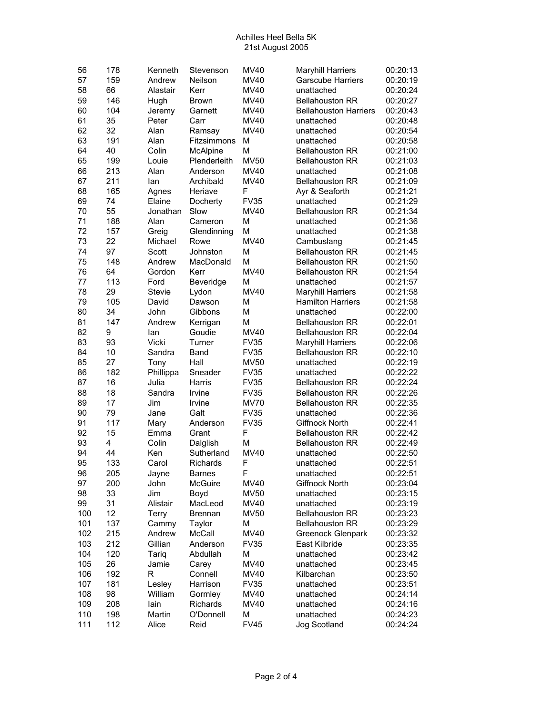| 56  | 178 | Kenneth      | Stevenson        | MV40        | <b>Maryhill Harriers</b>     | 00:20:13 |
|-----|-----|--------------|------------------|-------------|------------------------------|----------|
| 57  | 159 | Andrew       | Neilson          | MV40        | <b>Garscube Harriers</b>     | 00:20:19 |
| 58  | 66  | Alastair     | Kerr             | <b>MV40</b> | unattached                   | 00:20:24 |
| 59  | 146 | Hugh         | <b>Brown</b>     | MV40        | <b>Bellahouston RR</b>       | 00:20:27 |
| 60  | 104 | Jeremy       | Garnett          | MV40        | <b>Bellahouston Harriers</b> | 00:20:43 |
| 61  | 35  | Peter        | Carr             | <b>MV40</b> | unattached                   | 00:20:48 |
| 62  | 32  | Alan         |                  | MV40        | unattached                   | 00:20:54 |
|     |     |              | Ramsay           |             |                              |          |
| 63  | 191 | Alan         | Fitzsimmons      | M           | unattached                   | 00:20:58 |
| 64  | 40  | Colin        | McAlpine         | M           | <b>Bellahouston RR</b>       | 00:21:00 |
| 65  | 199 | Louie        | Plenderleith     | <b>MV50</b> | <b>Bellahouston RR</b>       | 00:21:03 |
| 66  | 213 | Alan         | Anderson         | MV40        | unattached                   | 00:21:08 |
| 67  | 211 | lan          | Archibald        | MV40        | <b>Bellahouston RR</b>       | 00:21:09 |
| 68  | 165 | Agnes        | Heriave          | F           | Ayr & Seaforth               | 00:21:21 |
| 69  | 74  | Elaine       | Docherty         | <b>FV35</b> | unattached                   | 00:21:29 |
| 70  | 55  | Jonathan     | Slow             | MV40        | <b>Bellahouston RR</b>       | 00:21:34 |
| 71  | 188 | Alan         | Cameron          | M           | unattached                   | 00:21:36 |
| 72  | 157 | Greig        | Glendinning      | M           | unattached                   | 00:21:38 |
| 73  | 22  | Michael      | Rowe             | <b>MV40</b> | Cambuslang                   | 00:21:45 |
| 74  | 97  | Scott        | Johnston         | M           | <b>Bellahouston RR</b>       | 00:21:45 |
| 75  | 148 | Andrew       | MacDonald        | M           | <b>Bellahouston RR</b>       | 00:21:50 |
| 76  | 64  | Gordon       | Kerr             | MV40        | <b>Bellahouston RR</b>       | 00:21:54 |
| 77  | 113 | Ford         | Beveridge        | M           | unattached                   | 00:21:57 |
| 78  | 29  | Stevie       | Lydon            | <b>MV40</b> | <b>Maryhill Harriers</b>     | 00:21:58 |
| 79  | 105 | David        | Dawson           | M           | <b>Hamilton Harriers</b>     | 00:21:58 |
| 80  | 34  | John         | Gibbons          | M           | unattached                   | 00:22:00 |
| 81  | 147 | Andrew       | Kerrigan         | M           | <b>Bellahouston RR</b>       | 00:22:01 |
| 82  | 9   | lan          | Goudie           | MV40        | <b>Bellahouston RR</b>       | 00:22:04 |
| 83  | 93  | Vicki        | Turner           | <b>FV35</b> | <b>Maryhill Harriers</b>     | 00:22:06 |
|     |     |              |                  |             |                              |          |
| 84  | 10  | Sandra       | Band             | <b>FV35</b> | <b>Bellahouston RR</b>       | 00:22:10 |
| 85  | 27  | Tony         | Hall             | <b>MV50</b> | unattached                   | 00:22:19 |
| 86  | 182 | Phillippa    | Sneader          | <b>FV35</b> | unattached                   | 00:22:22 |
| 87  | 16  | Julia        | Harris           | <b>FV35</b> | <b>Bellahouston RR</b>       | 00:22:24 |
| 88  | 18  | Sandra       | Irvine           | <b>FV35</b> | <b>Bellahouston RR</b>       | 00:22:26 |
| 89  | 17  | Jim          | Irvine           | <b>MV70</b> | <b>Bellahouston RR</b>       | 00:22:35 |
| 90  | 79  | Jane         | Galt             | <b>FV35</b> | unattached                   | 00:22:36 |
| 91  | 117 | Mary         | Anderson         | <b>FV35</b> | Giffnock North               | 00:22:41 |
| 92  | 15  | Emma         | Grant            | F           | <b>Bellahouston RR</b>       | 00:22:42 |
| 93  | 4   | Colin        | Dalglish         | M           | <b>Bellahouston RR</b>       | 00:22:49 |
| 94  | 44  | Ken          | Sutherland       | MV40        | unattached                   | 00:22:50 |
| 95  | 133 | Carol        | Richards         | F           | unattached                   | 00:22:51 |
| 96  | 205 | Jayne        | <b>Barnes</b>    | F           | unattached                   | 00:22:51 |
| 97  | 200 | John         | <b>McGuire</b>   | MV40        | Giffnock North               | 00:23:04 |
| 98  | 33  | Jim          | Boyd             | <b>MV50</b> | unattached                   | 00:23:15 |
| 99  | 31  | Alistair     | MacLeod          | MV40        | unattached                   | 00:23:19 |
| 100 | 12  | <b>Terry</b> | Brennan          | <b>MV50</b> | <b>Bellahouston RR</b>       | 00:23:23 |
| 101 | 137 | Cammy        | Taylor           | M           | <b>Bellahouston RR</b>       | 00:23:29 |
| 102 | 215 | Andrew       | McCall           | MV40        | Greenock Glenpark            | 00:23:32 |
| 103 | 212 | Gillian      | Anderson         | <b>FV35</b> | East Kilbride                | 00:23:35 |
| 104 | 120 | Tariq        | Abdullah         | М           | unattached                   | 00:23:42 |
| 105 | 26  | Jamie        |                  | <b>MV40</b> | unattached                   | 00:23:45 |
| 106 | 192 | R            | Carey<br>Connell | <b>MV40</b> | Kilbarchan                   | 00:23:50 |
|     |     |              |                  |             |                              |          |
| 107 | 181 | Lesley       | Harrison         | <b>FV35</b> | unattached                   | 00:23:51 |
| 108 | 98  | William      | Gormley          | MV40        | unattached                   | 00:24:14 |
| 109 | 208 | lain         | Richards         | MV40        | unattached                   | 00:24:16 |
| 110 | 198 | Martin       | O'Donnell        | М           | unattached                   | 00:24:23 |
| 111 | 112 | Alice        | Reid             | <b>FV45</b> | Jog Scotland                 | 00:24:24 |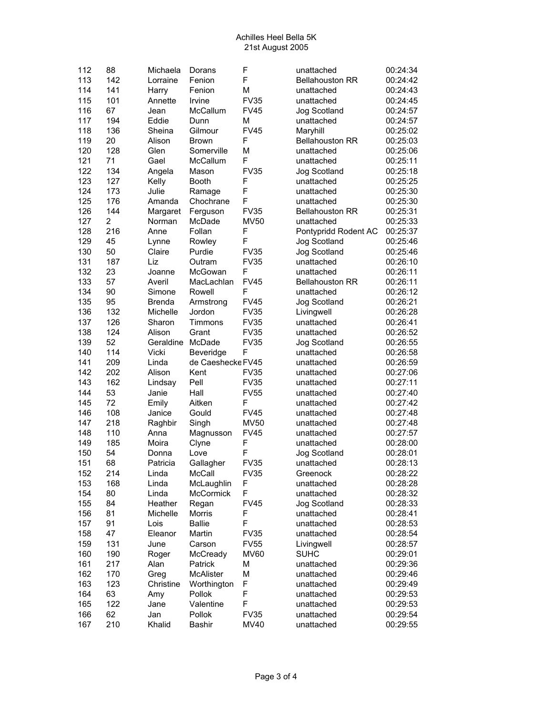| 112 | 88             | Michaela       | Dorans            | F           | unattached             | 00:24:34 |
|-----|----------------|----------------|-------------------|-------------|------------------------|----------|
| 113 | 142            | Lorraine       | Fenion            | F           | <b>Bellahouston RR</b> | 00:24:42 |
| 114 | 141            | Harry          | Fenion            | M           | unattached             | 00:24:43 |
| 115 | 101            | Annette        | Irvine            | <b>FV35</b> | unattached             | 00:24:45 |
| 116 | 67             | Jean           | McCallum          | <b>FV45</b> | Jog Scotland           | 00:24:57 |
| 117 | 194            | Eddie          | Dunn              | M           | unattached             | 00:24:57 |
| 118 | 136            | Sheina         | Gilmour           | <b>FV45</b> | Maryhill               | 00:25:02 |
| 119 | 20             | Alison         | <b>Brown</b>      | F           | <b>Bellahouston RR</b> | 00:25:03 |
| 120 | 128            | Glen           | Somerville        | M           | unattached             | 00:25:06 |
| 121 | 71             | Gael           | McCallum          | F           | unattached             | 00:25:11 |
| 122 | 134            | Angela         | Mason             | <b>FV35</b> | Jog Scotland           | 00:25:18 |
| 123 | 127            |                | <b>Booth</b>      | F           | unattached             | 00:25:25 |
| 124 | 173            | Kelly<br>Julie | Ramage            | F           | unattached             | 00:25:30 |
| 125 |                |                |                   | F           | unattached             |          |
|     | 176            | Amanda         | Chochrane         |             |                        | 00:25:30 |
| 126 | 144            | Margaret       | Ferguson          | <b>FV35</b> | <b>Bellahouston RR</b> | 00:25:31 |
| 127 | $\overline{2}$ | Norman         | McDade            | <b>MV50</b> | unattached             | 00:25:33 |
| 128 | 216            | Anne           | Follan            | F           | Pontypridd Rodent AC   | 00:25:37 |
| 129 | 45             | Lynne          | Rowley            | F           | Jog Scotland           | 00:25:46 |
| 130 | 50             | Claire         | Purdie            | <b>FV35</b> | Jog Scotland           | 00:25:46 |
| 131 | 187            | Liz            | Outram            | <b>FV35</b> | unattached             | 00:26:10 |
| 132 | 23             | Joanne         | McGowan           | F           | unattached             | 00:26:11 |
| 133 | 57             | Averil         | MacLachlan        | <b>FV45</b> | <b>Bellahouston RR</b> | 00:26:11 |
| 134 | 90             | Simone         | Rowell            | F           | unattached             | 00:26:12 |
| 135 | 95             | <b>Brenda</b>  | Armstrong         | <b>FV45</b> | Jog Scotland           | 00:26:21 |
| 136 | 132            | Michelle       | Jordon            | <b>FV35</b> | Livingwell             | 00:26:28 |
| 137 | 126            | Sharon         | Timmons           | <b>FV35</b> | unattached             | 00:26:41 |
| 138 | 124            | Alison         | Grant             | <b>FV35</b> | unattached             | 00:26:52 |
| 139 | 52             | Geraldine      | McDade            | <b>FV35</b> | Jog Scotland           | 00:26:55 |
| 140 | 114            | Vicki          | Beveridge         | F           | unattached             | 00:26:58 |
| 141 | 209            | Linda          | de Caeshecke FV45 |             | unattached             | 00:26:59 |
| 142 | 202            | Alison         | Kent              | <b>FV35</b> | unattached             | 00:27:06 |
| 143 | 162            | Lindsay        | Pell              | <b>FV35</b> | unattached             | 00:27:11 |
| 144 | 53             | Janie          | Hall              | <b>FV55</b> | unattached             | 00:27:40 |
| 145 | 72             | Emily          | Aitken            | F           | unattached             | 00:27:42 |
| 146 | 108            | Janice         | Gould             | <b>FV45</b> | unattached             | 00:27:48 |
| 147 | 218            | Raghbir        | Singh             | <b>MV50</b> | unattached             | 00:27:48 |
| 148 | 110            | Anna           | Magnusson         | <b>FV45</b> | unattached             | 00:27:57 |
| 149 | 185            | Moira          | Clyne             | F           | unattached             | 00:28:00 |
| 150 | 54             | Donna          | Love              | F           | Jog Scotland           | 00:28:01 |
| 151 | 68             | Patricia       | Gallagher         | <b>FV35</b> | unattached             | 00:28:13 |
| 152 | 214            | Linda          | McCall            | <b>FV35</b> | Greenock               | 00:28:22 |
| 153 | 168            | Linda          | McLaughlin        | F           | unattached             | 00:28:28 |
| 154 | 80             | Linda          | <b>McCormick</b>  | F           | unattached             | 00:28:32 |
| 155 | 84             | Heather        | Regan             | <b>FV45</b> | Jog Scotland           | 00:28:33 |
| 156 | 81             | Michelle       | Morris            | F           | unattached             | 00:28:41 |
| 157 | 91             | Lois           | <b>Ballie</b>     | F           | unattached             | 00:28:53 |
| 158 | 47             | Eleanor        | Martin            | <b>FV35</b> | unattached             | 00:28:54 |
| 159 | 131            | June           | Carson            | <b>FV55</b> | Livingwell             | 00:28:57 |
| 160 | 190            | Roger          | McCready          | <b>MV60</b> | <b>SUHC</b>            | 00:29:01 |
| 161 | 217            | Alan           | Patrick           | М           | unattached             | 00:29:36 |
| 162 | 170            | Greg           | <b>McAlister</b>  | M           | unattached             | 00:29:46 |
| 163 | 123            | Christine      | Worthington       | F           | unattached             | 00:29:49 |
| 164 | 63             | Amy            | Pollok            | F           | unattached             | 00:29:53 |
| 165 | 122            | Jane           | Valentine         | F           | unattached             | 00:29:53 |
| 166 | 62             | Jan            | Pollok            | <b>FV35</b> | unattached             | 00:29:54 |
| 167 | 210            | Khalid         | <b>Bashir</b>     | MV40        | unattached             | 00:29:55 |
|     |                |                |                   |             |                        |          |